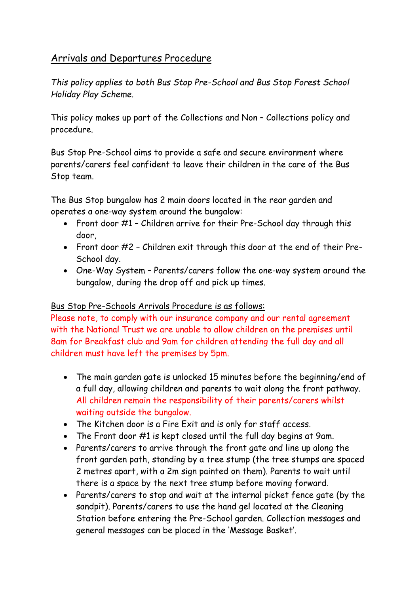# Arrivals and Departures Procedure

*This policy applies to both Bus Stop Pre-School and Bus Stop Forest School Holiday Play Scheme.*

This policy makes up part of the Collections and Non – Collections policy and procedure.

Bus Stop Pre-School aims to provide a safe and secure environment where parents/carers feel confident to leave their children in the care of the Bus Stop team.

The Bus Stop bungalow has 2 main doors located in the rear garden and operates a one-way system around the bungalow:

- Front door #1 Children arrive for their Pre-School day through this door,
- Front door #2 Children exit through this door at the end of their Pre-School day.
- One-Way System Parents/carers follow the one-way system around the bungalow, during the drop off and pick up times.

# Bus Stop Pre-Schools Arrivals Procedure is as follows:

Please note, to comply with our insurance company and our rental agreement with the National Trust we are unable to allow children on the premises until 8am for Breakfast club and 9am for children attending the full day and all children must have left the premises by 5pm.

- The main garden gate is unlocked 15 minutes before the beginning/end of a full day, allowing children and parents to wait along the front pathway. All children remain the responsibility of their parents/carers whilst waiting outside the bungalow.
- The Kitchen door is a Fire Exit and is only for staff access.
- The Front door #1 is kept closed until the full day begins at 9am.
- Parents/carers to arrive through the front gate and line up along the front garden path, standing by a tree stump (the tree stumps are spaced 2 metres apart, with a 2m sign painted on them). Parents to wait until there is a space by the next tree stump before moving forward.
- Parents/carers to stop and wait at the internal picket fence gate (by the sandpit). Parents/carers to use the hand gel located at the Cleaning Station before entering the Pre-School garden. Collection messages and general messages can be placed in the 'Message Basket'.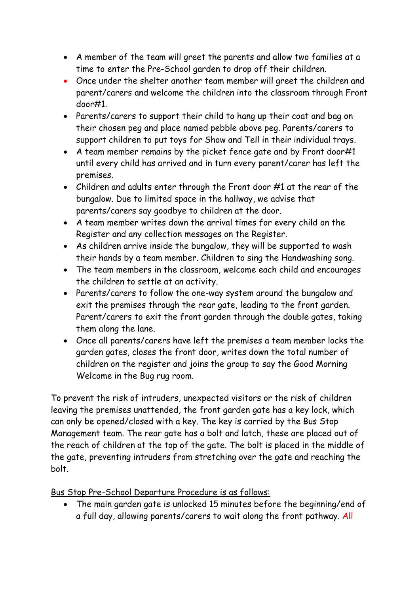- A member of the team will greet the parents and allow two families at a time to enter the Pre-School garden to drop off their children.
- Once under the shelter another team member will greet the children and parent/carers and welcome the children into the classroom through Front door#1.
- Parents/carers to support their child to hang up their coat and bag on their chosen peg and place named pebble above peg. Parents/carers to support children to put toys for Show and Tell in their individual trays.
- A team member remains by the picket fence gate and by Front door#1 until every child has arrived and in turn every parent/carer has left the premises.
- Children and adults enter through the Front door #1 at the rear of the bungalow. Due to limited space in the hallway, we advise that parents/carers say goodbye to children at the door.
- A team member writes down the arrival times for every child on the Register and any collection messages on the Register.
- As children arrive inside the bungalow, they will be supported to wash their hands by a team member. Children to sing the Handwashing song.
- The team members in the classroom, welcome each child and encourages the children to settle at an activity.
- Parents/carers to follow the one-way system around the bungalow and exit the premises through the rear gate, leading to the front garden. Parent/carers to exit the front garden through the double gates, taking them along the lane.
- Once all parents/carers have left the premises a team member locks the garden gates, closes the front door, writes down the total number of children on the register and joins the group to say the Good Morning Welcome in the Bug rug room.

To prevent the risk of intruders, unexpected visitors or the risk of children leaving the premises unattended, the front garden gate has a key lock, which can only be opened/closed with a key. The key is carried by the Bus Stop Management team. The rear gate has a bolt and latch, these are placed out of the reach of children at the top of the gate. The bolt is placed in the middle of the gate, preventing intruders from stretching over the gate and reaching the bolt.

Bus Stop Pre-School Departure Procedure is as follows:

• The main garden gate is unlocked 15 minutes before the beginning/end of a full day, allowing parents/carers to wait along the front pathway. All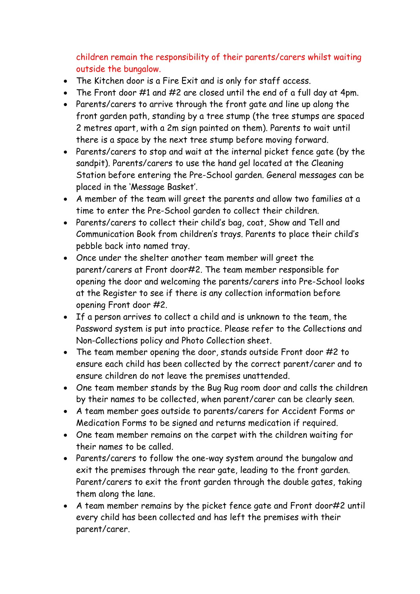children remain the responsibility of their parents/carers whilst waiting outside the bungalow.

- The Kitchen door is a Fire Exit and is only for staff access.
- The Front door #1 and #2 are closed until the end of a full day at 4pm.
- Parents/carers to arrive through the front gate and line up along the front garden path, standing by a tree stump (the tree stumps are spaced 2 metres apart, with a 2m sign painted on them). Parents to wait until there is a space by the next tree stump before moving forward.
- Parents/carers to stop and wait at the internal picket fence gate (by the sandpit). Parents/carers to use the hand gel located at the Cleaning Station before entering the Pre-School garden. General messages can be placed in the 'Message Basket'.
- A member of the team will greet the parents and allow two families at a time to enter the Pre-School garden to collect their children.
- Parents/carers to collect their child's bag, coat, Show and Tell and Communication Book from children's trays. Parents to place their child's pebble back into named tray.
- Once under the shelter another team member will greet the parent/carers at Front door#2. The team member responsible for opening the door and welcoming the parents/carers into Pre-School looks at the Register to see if there is any collection information before opening Front door #2.
- If a person arrives to collect a child and is unknown to the team, the Password system is put into practice. Please refer to the Collections and Non-Collections policy and Photo Collection sheet.
- The team member opening the door, stands outside Front door #2 to ensure each child has been collected by the correct parent/carer and to ensure children do not leave the premises unattended.
- One team member stands by the Bug Rug room door and calls the children by their names to be collected, when parent/carer can be clearly seen.
- A team member goes outside to parents/carers for Accident Forms or Medication Forms to be signed and returns medication if required.
- One team member remains on the carpet with the children waiting for their names to be called.
- Parents/carers to follow the one-way system around the bungalow and exit the premises through the rear gate, leading to the front garden. Parent/carers to exit the front garden through the double gates, taking them along the lane.
- A team member remains by the picket fence gate and Front door#2 until every child has been collected and has left the premises with their parent/carer.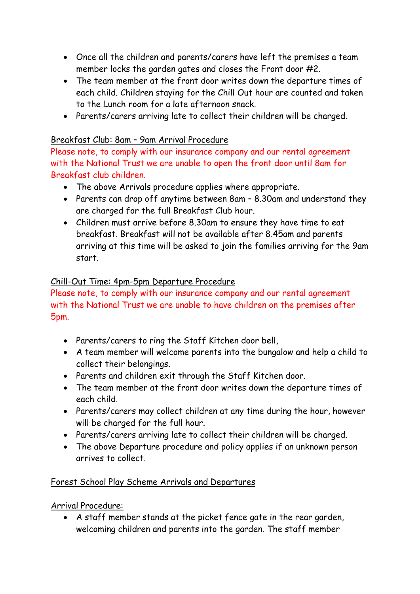- Once all the children and parents/carers have left the premises a team member locks the garden gates and closes the Front door #2.
- The team member at the front door writes down the departure times of each child. Children staying for the Chill Out hour are counted and taken to the Lunch room for a late afternoon snack.
- Parents/carers arriving late to collect their children will be charged.

# Breakfast Club: 8am – 9am Arrival Procedure

Please note, to comply with our insurance company and our rental agreement with the National Trust we are unable to open the front door until 8am for Breakfast club children.

- The above Arrivals procedure applies where appropriate.
- Parents can drop off anytime between 8am 8.30am and understand they are charged for the full Breakfast Club hour.
- Children must arrive before 8.30am to ensure they have time to eat breakfast. Breakfast will not be available after 8.45am and parents arriving at this time will be asked to join the families arriving for the 9am start.

# Chill-Out Time: 4pm-5pm Departure Procedure

Please note, to comply with our insurance company and our rental agreement with the National Trust we are unable to have children on the premises after 5pm.

- Parents/carers to ring the Staff Kitchen door bell,
- A team member will welcome parents into the bungalow and help a child to collect their belongings.
- Parents and children exit through the Staff Kitchen door.
- The team member at the front door writes down the departure times of each child.
- Parents/carers may collect children at any time during the hour, however will be charged for the full hour.
- Parents/carers arriving late to collect their children will be charged.
- The above Departure procedure and policy applies if an unknown person arrives to collect.

# Forest School Play Scheme Arrivals and Departures

Arrival Procedure:

• A staff member stands at the picket fence gate in the rear garden, welcoming children and parents into the garden. The staff member